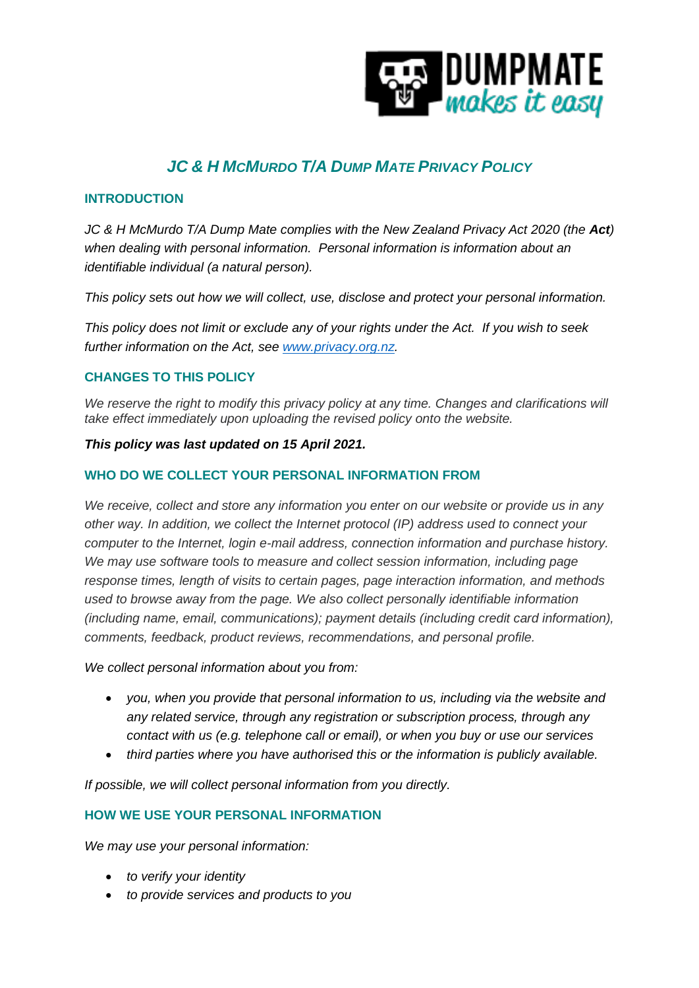

# *JC & H MCMURDO T/A DUMP MATE PRIVACY POLICY*

## **INTRODUCTION**

*JC & H McMurdo T/A Dump Mate complies with the New Zealand Privacy Act 2020 (the Act) when dealing with personal information. Personal information is information about an identifiable individual (a natural person).*

*This policy sets out how we will collect, use, disclose and protect your personal information.*

*This policy does not limit or exclude any of your rights under the Act. If you wish to seek further information on the Act, see [www.privacy.org.nz.](http://www.privacy.org.nz/)*

# **CHANGES TO THIS POLICY**

We reserve the right to modify this privacy policy at any time. Changes and clarifications will *take effect immediately upon uploading the revised policy onto the website.*

#### *This policy was last updated on 15 April 2021.*

## **WHO DO WE COLLECT YOUR PERSONAL INFORMATION FROM**

*We receive, collect and store any information you enter on our website or provide us in any other way. In addition, we collect the Internet protocol (IP) address used to connect your computer to the Internet, login e-mail address, connection information and purchase history. We may use software tools to measure and collect session information, including page response times, length of visits to certain pages, page interaction information, and methods used to browse away from the page. We also collect personally identifiable information (including name, email, communications); payment details (including credit card information), comments, feedback, product reviews, recommendations, and personal profile.*

*We collect personal information about you from:*

- *you, when you provide that personal information to us, including via the website and any related service, through any registration or subscription process, through any contact with us (e.g. telephone call or email), or when you buy or use our services*
- *third parties where you have authorised this or the information is publicly available.*

*If possible, we will collect personal information from you directly.* 

#### **HOW WE USE YOUR PERSONAL INFORMATION**

*We may use your personal information:* 

- *to verify your identity*
- *to provide services and products to you*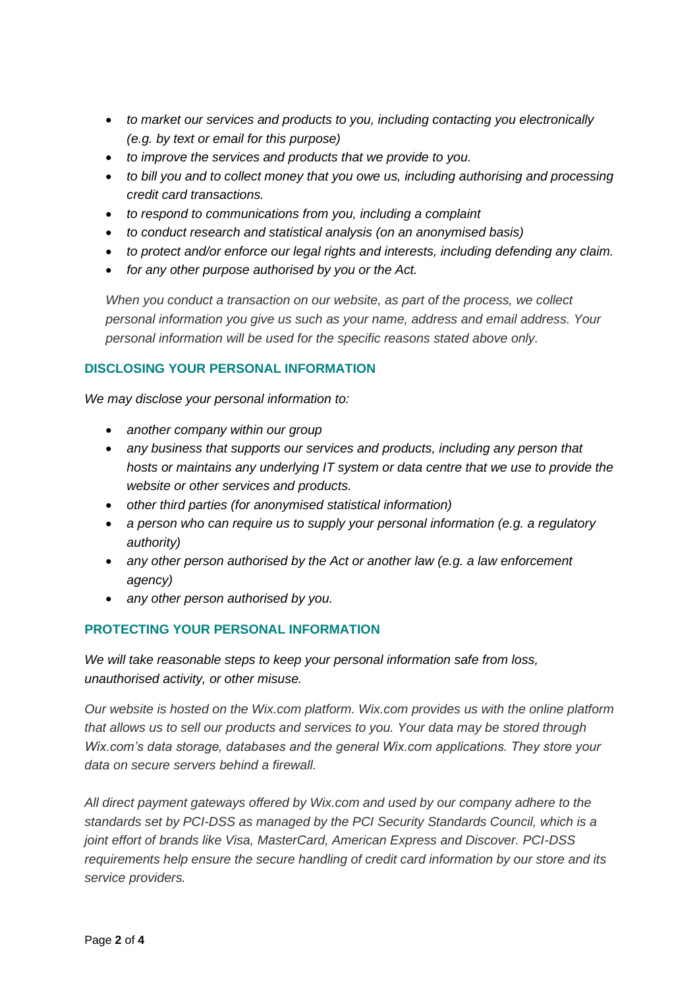- *to market our services and products to you, including contacting you electronically (e.g. by text or email for this purpose)*
- *to improve the services and products that we provide to you.*
- *to bill you and to collect money that you owe us, including authorising and processing credit card transactions.*
- *to respond to communications from you, including a complaint*
- *to conduct research and statistical analysis (on an anonymised basis)*
- *to protect and/or enforce our legal rights and interests, including defending any claim.*
- *for any other purpose authorised by you or the Act.*

*When you conduct a transaction on our website, as part of the process, we collect personal information you give us such as your name, address and email address. Your personal information will be used for the specific reasons stated above only.*

## **DISCLOSING YOUR PERSONAL INFORMATION**

*We may disclose your personal information to:* 

- *another company within our group*
- *any business that supports our services and products, including any person that hosts or maintains any underlying IT system or data centre that we use to provide the website or other services and products.*
- *other third parties (for anonymised statistical information)*
- *a person who can require us to supply your personal information (e.g. a regulatory authority)*
- *any other person authorised by the Act or another law (e.g. a law enforcement agency)*
- *any other person authorised by you.*

# **PROTECTING YOUR PERSONAL INFORMATION**

*We will take reasonable steps to keep your personal information safe from loss, unauthorised activity, or other misuse.*

*Our website is hosted on the Wix.com platform. Wix.com provides us with the online platform that allows us to sell our products and services to you. Your data may be stored through Wix.com's data storage, databases and the general Wix.com applications. They store your data on secure servers behind a firewall.*

*All direct payment gateways offered by Wix.com and used by our company adhere to the standards set by PCI-DSS as managed by the PCI Security Standards Council, which is a joint effort of brands like Visa, MasterCard, American Express and Discover. PCI-DSS requirements help ensure the secure handling of credit card information by our store and its service providers.*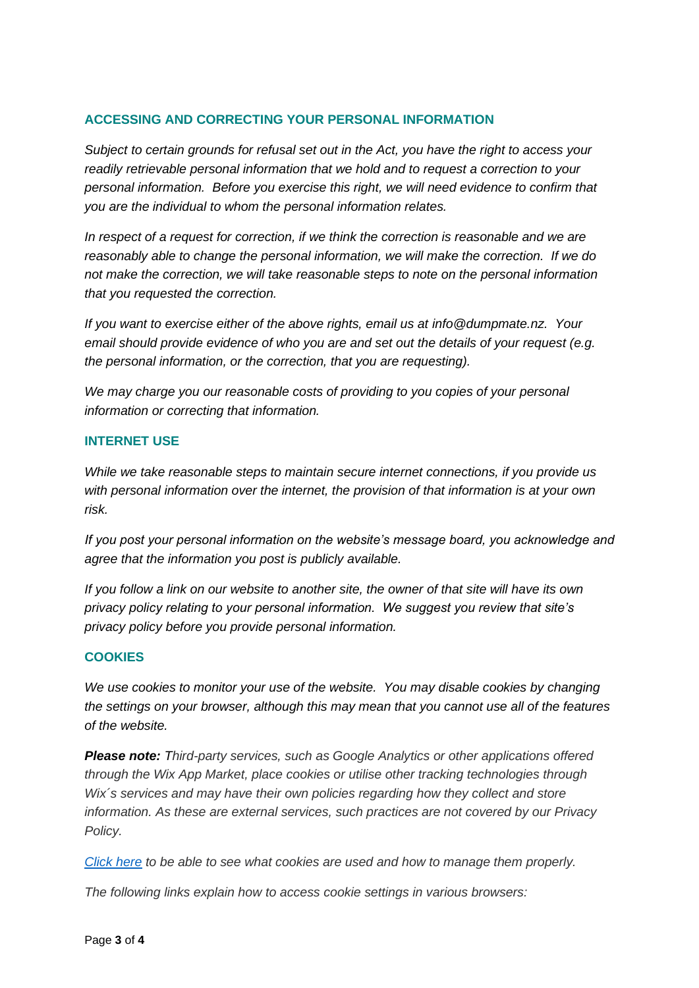## **ACCESSING AND CORRECTING YOUR PERSONAL INFORMATION**

*Subject to certain grounds for refusal set out in the Act, you have the right to access your readily retrievable personal information that we hold and to request a correction to your personal information. Before you exercise this right, we will need evidence to confirm that you are the individual to whom the personal information relates.*

*In respect of a request for correction, if we think the correction is reasonable and we are reasonably able to change the personal information, we will make the correction. If we do not make the correction, we will take reasonable steps to note on the personal information that you requested the correction.*

*If you want to exercise either of the above rights, email us at info@dumpmate.nz. Your email should provide evidence of who you are and set out the details of your request (e.g. the personal information, or the correction, that you are requesting).*

*We may charge you our reasonable costs of providing to you copies of your personal information or correcting that information.*

#### **INTERNET USE**

*While we take reasonable steps to maintain secure internet connections, if you provide us with personal information over the internet, the provision of that information is at your own risk.*

*If you post your personal information on the website's message board, you acknowledge and agree that the information you post is publicly available.*

*If you follow a link on our website to another site, the owner of that site will have its own privacy policy relating to your personal information. We suggest you review that site's privacy policy before you provide personal information.*

#### **COOKIES**

*We use cookies to monitor your use of the website. You may disable cookies by changing the settings on your browser, although this may mean that you cannot use all of the features of the website.* 

*Please note: Third-party services, such as Google Analytics or other applications offered through the Wix App Market, place cookies or utilise other tracking technologies through Wix´s services and may have their own policies regarding how they collect and store information. As these are external services, such practices are not covered by our Privacy Policy.*

*[Click here](https://www.allaboutcookies.org/) to be able to see what cookies are used and how to manage them properly.*

*The following links explain how to access cookie settings in various browsers:*